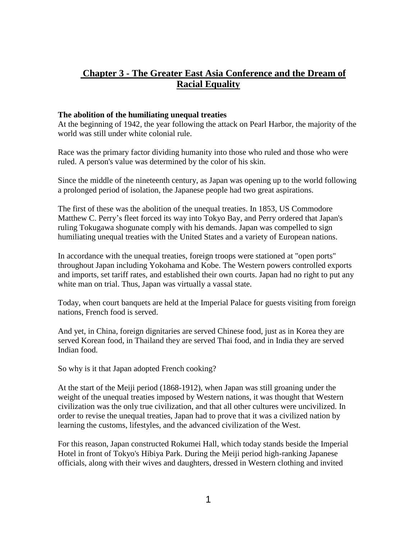# **Chapter 3 - The Greater East Asia Conference and the Dream of Racial Equality**

## **The abolition of the humiliating unequal treaties**

At the beginning of 1942, the year following the attack on Pearl Harbor, the majority of the world was still under white colonial rule.

Race was the primary factor dividing humanity into those who ruled and those who were ruled. A person's value was determined by the color of his skin.

Since the middle of the nineteenth century, as Japan was opening up to the world following a prolonged period of isolation, the Japanese people had two great aspirations.

The first of these was the abolition of the unequal treaties. In 1853, US Commodore Matthew C. Perry's fleet forced its way into Tokyo Bay, and Perry ordered that Japan's ruling Tokugawa shogunate comply with his demands. Japan was compelled to sign humiliating unequal treaties with the United States and a variety of European nations.

In accordance with the unequal treaties, foreign troops were stationed at "open ports" throughout Japan including Yokohama and Kobe. The Western powers controlled exports and imports, set tariff rates, and established their own courts. Japan had no right to put any white man on trial. Thus, Japan was virtually a vassal state.

Today, when court banquets are held at the Imperial Palace for guests visiting from foreign nations, French food is served.

And yet, in China, foreign dignitaries are served Chinese food, just as in Korea they are served Korean food, in Thailand they are served Thai food, and in India they are served Indian food.

So why is it that Japan adopted French cooking?

At the start of the Meiji period (1868-1912), when Japan was still groaning under the weight of the unequal treaties imposed by Western nations, it was thought that Western civilization was the only true civilization, and that all other cultures were uncivilized. In order to revise the unequal treaties, Japan had to prove that it was a civilized nation by learning the customs, lifestyles, and the advanced civilization of the West.

For this reason, Japan constructed Rokumei Hall, which today stands beside the Imperial Hotel in front of Tokyo's Hibiya Park. During the Meiji period high-ranking Japanese officials, along with their wives and daughters, dressed in Western clothing and invited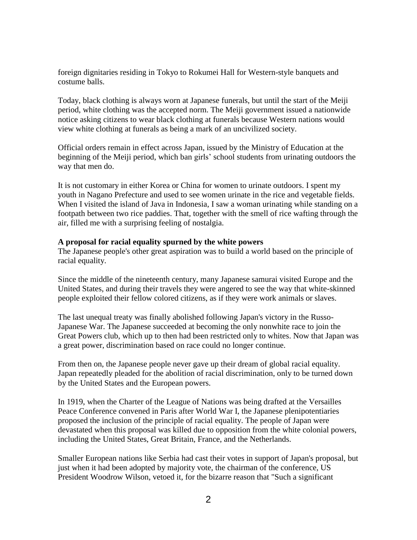foreign dignitaries residing in Tokyo to Rokumei Hall for Western-style banquets and costume balls.

Today, black clothing is always worn at Japanese funerals, but until the start of the Meiji period, white clothing was the accepted norm. The Meiji government issued a nationwide notice asking citizens to wear black clothing at funerals because Western nations would view white clothing at funerals as being a mark of an uncivilized society.

Official orders remain in effect across Japan, issued by the Ministry of Education at the beginning of the Meiji period, which ban girls' school students from urinating outdoors the way that men do.

It is not customary in either Korea or China for women to urinate outdoors. I spent my youth in Nagano Prefecture and used to see women urinate in the rice and vegetable fields. When I visited the island of Java in Indonesia, I saw a woman urinating while standing on a footpath between two rice paddies. That, together with the smell of rice wafting through the air, filled me with a surprising feeling of nostalgia.

### **A proposal for racial equality spurned by the white powers**

The Japanese people's other great aspiration was to build a world based on the principle of racial equality.

Since the middle of the nineteenth century, many Japanese samurai visited Europe and the United States, and during their travels they were angered to see the way that white-skinned people exploited their fellow colored citizens, as if they were work animals or slaves.

The last unequal treaty was finally abolished following Japan's victory in the Russo-Japanese War. The Japanese succeeded at becoming the only nonwhite race to join the Great Powers club, which up to then had been restricted only to whites. Now that Japan was a great power, discrimination based on race could no longer continue.

From then on, the Japanese people never gave up their dream of global racial equality. Japan repeatedly pleaded for the abolition of racial discrimination, only to be turned down by the United States and the European powers.

In 1919, when the Charter of the League of Nations was being drafted at the Versailles Peace Conference convened in Paris after World War I, the Japanese plenipotentiaries proposed the inclusion of the principle of racial equality. The people of Japan were devastated when this proposal was killed due to opposition from the white colonial powers, including the United States, Great Britain, France, and the Netherlands.

Smaller European nations like Serbia had cast their votes in support of Japan's proposal, but just when it had been adopted by majority vote, the chairman of the conference, US President Woodrow Wilson, vetoed it, for the bizarre reason that "Such a significant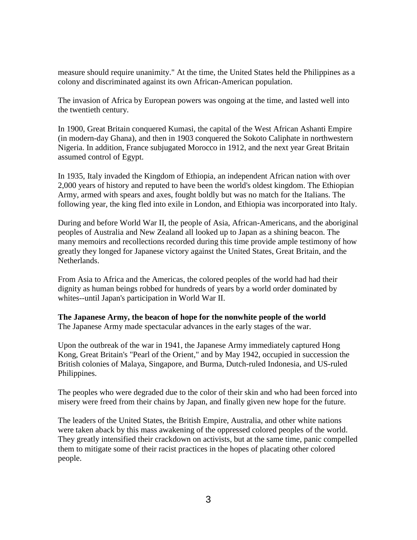measure should require unanimity." At the time, the United States held the Philippines as a colony and discriminated against its own African-American population.

The invasion of Africa by European powers was ongoing at the time, and lasted well into the twentieth century.

In 1900, Great Britain conquered Kumasi, the capital of the West African Ashanti Empire (in modern-day Ghana), and then in 1903 conquered the Sokoto Caliphate in northwestern Nigeria. In addition, France subjugated Morocco in 1912, and the next year Great Britain assumed control of Egypt.

In 1935, Italy invaded the Kingdom of Ethiopia, an independent African nation with over 2,000 years of history and reputed to have been the world's oldest kingdom. The Ethiopian Army, armed with spears and axes, fought boldly but was no match for the Italians. The following year, the king fled into exile in London, and Ethiopia was incorporated into Italy.

During and before World War II, the people of Asia, African-Americans, and the aboriginal peoples of Australia and New Zealand all looked up to Japan as a shining beacon. The many memoirs and recollections recorded during this time provide ample testimony of how greatly they longed for Japanese victory against the United States, Great Britain, and the Netherlands.

From Asia to Africa and the Americas, the colored peoples of the world had had their dignity as human beings robbed for hundreds of years by a world order dominated by whites--until Japan's participation in World War II.

**The Japanese Army, the beacon of hope for the nonwhite people of the world**  The Japanese Army made spectacular advances in the early stages of the war.

Upon the outbreak of the war in 1941, the Japanese Army immediately captured Hong Kong, Great Britain's "Pearl of the Orient," and by May 1942, occupied in succession the British colonies of Malaya, Singapore, and Burma, Dutch-ruled Indonesia, and US-ruled Philippines.

The peoples who were degraded due to the color of their skin and who had been forced into misery were freed from their chains by Japan, and finally given new hope for the future.

The leaders of the United States, the British Empire, Australia, and other white nations were taken aback by this mass awakening of the oppressed colored peoples of the world. They greatly intensified their crackdown on activists, but at the same time, panic compelled them to mitigate some of their racist practices in the hopes of placating other colored people.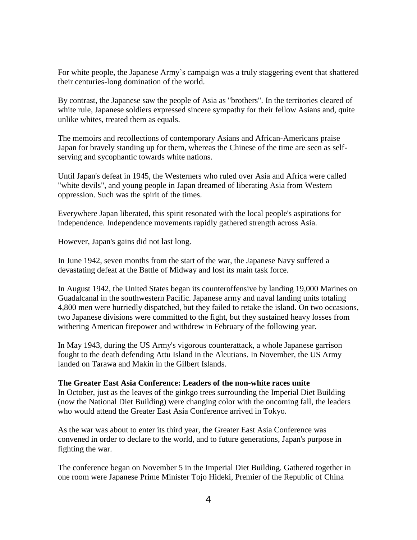For white people, the Japanese Army's campaign was a truly staggering event that shattered their centuries-long domination of the world.

By contrast, the Japanese saw the people of Asia as "brothers". In the territories cleared of white rule, Japanese soldiers expressed sincere sympathy for their fellow Asians and, quite unlike whites, treated them as equals.

The memoirs and recollections of contemporary Asians and African-Americans praise Japan for bravely standing up for them, whereas the Chinese of the time are seen as selfserving and sycophantic towards white nations.

Until Japan's defeat in 1945, the Westerners who ruled over Asia and Africa were called "white devils", and young people in Japan dreamed of liberating Asia from Western oppression. Such was the spirit of the times.

Everywhere Japan liberated, this spirit resonated with the local people's aspirations for independence. Independence movements rapidly gathered strength across Asia.

However, Japan's gains did not last long.

In June 1942, seven months from the start of the war, the Japanese Navy suffered a devastating defeat at the Battle of Midway and lost its main task force.

In August 1942, the United States began its counteroffensive by landing 19,000 Marines on Guadalcanal in the southwestern Pacific. Japanese army and naval landing units totaling 4,800 men were hurriedly dispatched, but they failed to retake the island. On two occasions, two Japanese divisions were committed to the fight, but they sustained heavy losses from withering American firepower and withdrew in February of the following year.

In May 1943, during the US Army's vigorous counterattack, a whole Japanese garrison fought to the death defending Attu Island in the Aleutians. In November, the US Army landed on Tarawa and Makin in the Gilbert Islands.

#### **The Greater East Asia Conference: Leaders of the non-white races unite**

In October, just as the leaves of the ginkgo trees surrounding the Imperial Diet Building (now the National Diet Building) were changing color with the oncoming fall, the leaders who would attend the Greater East Asia Conference arrived in Tokyo.

As the war was about to enter its third year, the Greater East Asia Conference was convened in order to declare to the world, and to future generations, Japan's purpose in fighting the war.

The conference began on November 5 in the Imperial Diet Building. Gathered together in one room were Japanese Prime Minister Tojo Hideki, Premier of the Republic of China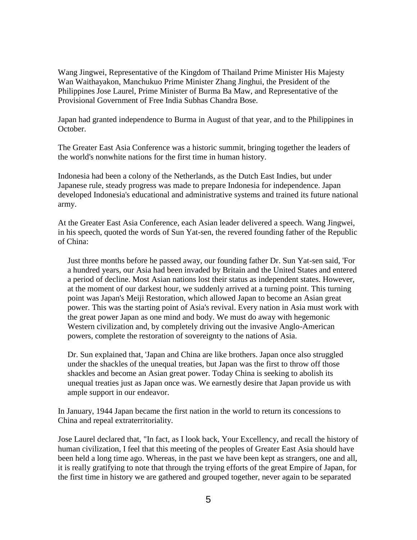Wang Jingwei, Representative of the Kingdom of Thailand Prime Minister His Majesty Wan Waithayakon, Manchukuo Prime Minister Zhang Jinghui, the President of the Philippines Jose Laurel, Prime Minister of Burma Ba Maw, and Representative of the Provisional Government of Free India Subhas Chandra Bose.

Japan had granted independence to Burma in August of that year, and to the Philippines in October.

The Greater East Asia Conference was a historic summit, bringing together the leaders of the world's nonwhite nations for the first time in human history.

Indonesia had been a colony of the Netherlands, as the Dutch East Indies, but under Japanese rule, steady progress was made to prepare Indonesia for independence. Japan developed Indonesia's educational and administrative systems and trained its future national army.

At the Greater East Asia Conference, each Asian leader delivered a speech. Wang Jingwei, in his speech, quoted the words of Sun Yat-sen, the revered founding father of the Republic of China:

Just three months before he passed away, our founding father Dr. Sun Yat-sen said, 'For a hundred years, our Asia had been invaded by Britain and the United States and entered a period of decline. Most Asian nations lost their status as independent states. However, at the moment of our darkest hour, we suddenly arrived at a turning point. This turning point was Japan's Meiji Restoration, which allowed Japan to become an Asian great power. This was the starting point of Asia's revival. Every nation in Asia must work with the great power Japan as one mind and body. We must do away with hegemonic Western civilization and, by completely driving out the invasive Anglo-American powers, complete the restoration of sovereignty to the nations of Asia.

Dr. Sun explained that, 'Japan and China are like brothers. Japan once also struggled under the shackles of the unequal treaties, but Japan was the first to throw off those shackles and become an Asian great power. Today China is seeking to abolish its unequal treaties just as Japan once was. We earnestly desire that Japan provide us with ample support in our endeavor.

In January, 1944 Japan became the first nation in the world to return its concessions to China and repeal extraterritoriality.

Jose Laurel declared that, "In fact, as I look back, Your Excellency, and recall the history of human civilization, I feel that this meeting of the peoples of Greater East Asia should have been held a long time ago. Whereas, in the past we have been kept as strangers, one and all, it is really gratifying to note that through the trying efforts of the great Empire of Japan, for the first time in history we are gathered and grouped together, never again to be separated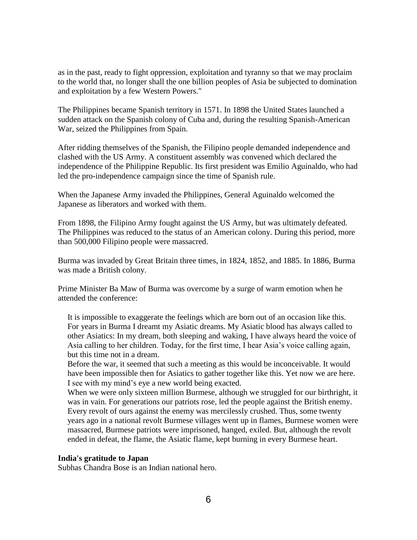as in the past, ready to fight oppression, exploitation and tyranny so that we may proclaim to the world that, no longer shall the one billion peoples of Asia be subjected to domination and exploitation by a few Western Powers."

The Philippines became Spanish territory in 1571. In 1898 the United States launched a sudden attack on the Spanish colony of Cuba and, during the resulting Spanish-American War, seized the Philippines from Spain.

After ridding themselves of the Spanish, the Filipino people demanded independence and clashed with the US Army. A constituent assembly was convened which declared the independence of the Philippine Republic. Its first president was Emilio Aguinaldo, who had led the pro-independence campaign since the time of Spanish rule.

When the Japanese Army invaded the Philippines, General Aguinaldo welcomed the Japanese as liberators and worked with them.

From 1898, the Filipino Army fought against the US Army, but was ultimately defeated. The Philippines was reduced to the status of an American colony. During this period, more than 500,000 Filipino people were massacred.

Burma was invaded by Great Britain three times, in 1824, 1852, and 1885. In 1886, Burma was made a British colony.

Prime Minister Ba Maw of Burma was overcome by a surge of warm emotion when he attended the conference:

It is impossible to exaggerate the feelings which are born out of an occasion like this. For years in Burma I dreamt my Asiatic dreams. My Asiatic blood has always called to other Asiatics: In my dream, both sleeping and waking, I have always heard the voice of Asia calling to her children. Today, for the first time, I hear Asia's voice calling again, but this time not in a dream.

Before the war, it seemed that such a meeting as this would be inconceivable. It would have been impossible then for Asiatics to gather together like this. Yet now we are here. I see with my mind's eye a new world being exacted.

When we were only sixteen million Burmese, although we struggled for our birthright, it was in vain. For generations our patriots rose, led the people against the British enemy. Every revolt of ours against the enemy was mercilessly crushed. Thus, some twenty years ago in a national revolt Burmese villages went up in flames, Burmese women were massacred, Burmese patriots were imprisoned, hanged, exiled. But, although the revolt ended in defeat, the flame, the Asiatic flame, kept burning in every Burmese heart.

#### **India's gratitude to Japan**

Subhas Chandra Bose is an Indian national hero.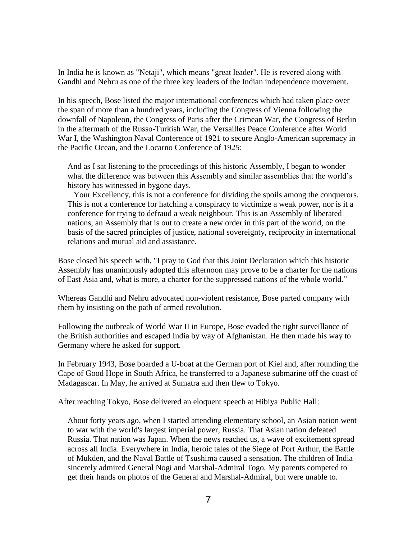In India he is known as "Netaji", which means "great leader". He is revered along with Gandhi and Nehru as one of the three key leaders of the Indian independence movement.

In his speech, Bose listed the major international conferences which had taken place over the span of more than a hundred years, including the Congress of Vienna following the downfall of Napoleon, the Congress of Paris after the Crimean War, the Congress of Berlin in the aftermath of the Russo-Turkish War, the Versailles Peace Conference after World War I, the Washington Naval Conference of 1921 to secure Anglo-American supremacy in the Pacific Ocean, and the Locarno Conference of 1925:

And as I sat listening to the proceedings of this historic Assembly, I began to wonder what the difference was between this Assembly and similar assemblies that the world's history has witnessed in bygone days.

 Your Excellency, this is not a conference for dividing the spoils among the conquerors. This is not a conference for hatching a conspiracy to victimize a weak power, nor is it a conference for trying to defraud a weak neighbour. This is an Assembly of liberated nations, an Assembly that is out to create a new order in this part of the world, on the basis of the sacred principles of justice, national sovereignty, reciprocity in international relations and mutual aid and assistance.

Bose closed his speech with, "I pray to God that this Joint Declaration which this historic Assembly has unanimously adopted this afternoon may prove to be a charter for the nations of East Asia and, what is more, a charter for the suppressed nations of the whole world."

Whereas Gandhi and Nehru advocated non-violent resistance, Bose parted company with them by insisting on the path of armed revolution.

Following the outbreak of World War II in Europe, Bose evaded the tight surveillance of the British authorities and escaped India by way of Afghanistan. He then made his way to Germany where he asked for support.

In February 1943, Bose boarded a U-boat at the German port of Kiel and, after rounding the Cape of Good Hope in South Africa, he transferred to a Japanese submarine off the coast of Madagascar. In May, he arrived at Sumatra and then flew to Tokyo.

After reaching Tokyo, Bose delivered an eloquent speech at Hibiya Public Hall:

About forty years ago, when I started attending elementary school, an Asian nation went to war with the world's largest imperial power, Russia. That Asian nation defeated Russia. That nation was Japan. When the news reached us, a wave of excitement spread across all India. Everywhere in India, heroic tales of the Siege of Port Arthur, the Battle of Mukden, and the Naval Battle of Tsushima caused a sensation. The children of India sincerely admired General Nogi and Marshal-Admiral Togo. My parents competed to get their hands on photos of the General and Marshal-Admiral, but were unable to.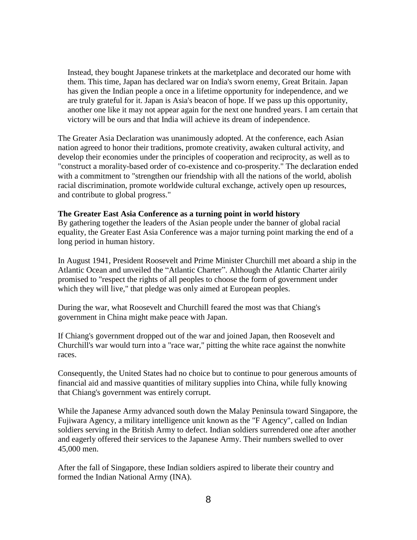Instead, they bought Japanese trinkets at the marketplace and decorated our home with them. This time, Japan has declared war on India's sworn enemy, Great Britain. Japan has given the Indian people a once in a lifetime opportunity for independence, and we are truly grateful for it. Japan is Asia's beacon of hope. If we pass up this opportunity, another one like it may not appear again for the next one hundred years. I am certain that victory will be ours and that India will achieve its dream of independence.

The Greater Asia Declaration was unanimously adopted. At the conference, each Asian nation agreed to honor their traditions, promote creativity, awaken cultural activity, and develop their economies under the principles of cooperation and reciprocity, as well as to "construct a morality-based order of co-existence and co-prosperity." The declaration ended with a commitment to "strengthen our friendship with all the nations of the world, abolish racial discrimination, promote worldwide cultural exchange, actively open up resources, and contribute to global progress."

#### **The Greater East Asia Conference as a turning point in world history**

By gathering together the leaders of the Asian people under the banner of global racial equality, the Greater East Asia Conference was a major turning point marking the end of a long period in human history.

In August 1941, President Roosevelt and Prime Minister Churchill met aboard a ship in the Atlantic Ocean and unveiled the "Atlantic Charter". Although the Atlantic Charter airily promised to "respect the rights of all peoples to choose the form of government under which they will live," that pledge was only aimed at European peoples.

During the war, what Roosevelt and Churchill feared the most was that Chiang's government in China might make peace with Japan.

If Chiang's government dropped out of the war and joined Japan, then Roosevelt and Churchill's war would turn into a "race war," pitting the white race against the nonwhite races.

Consequently, the United States had no choice but to continue to pour generous amounts of financial aid and massive quantities of military supplies into China, while fully knowing that Chiang's government was entirely corrupt.

While the Japanese Army advanced south down the Malay Peninsula toward Singapore, the Fujiwara Agency, a military intelligence unit known as the "F Agency", called on Indian soldiers serving in the British Army to defect. Indian soldiers surrendered one after another and eagerly offered their services to the Japanese Army. Their numbers swelled to over 45,000 men.

After the fall of Singapore, these Indian soldiers aspired to liberate their country and formed the Indian National Army (INA).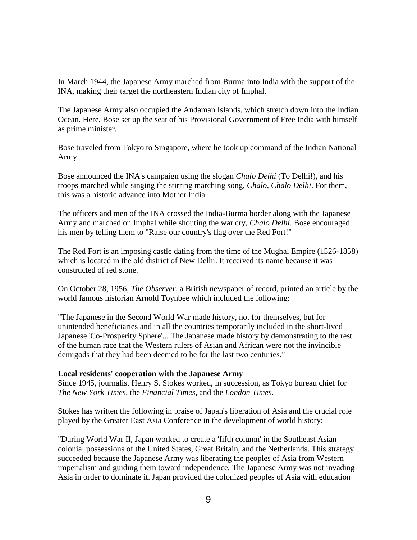In March 1944, the Japanese Army marched from Burma into India with the support of the INA, making their target the northeastern Indian city of Imphal.

The Japanese Army also occupied the Andaman Islands, which stretch down into the Indian Ocean. Here, Bose set up the seat of his Provisional Government of Free India with himself as prime minister.

Bose traveled from Tokyo to Singapore, where he took up command of the Indian National Army.

Bose announced the INA's campaign using the slogan *Chalo Delhi* (To Delhi!), and his troops marched while singing the stirring marching song, *Chalo, Chalo Delhi*. For them, this was a historic advance into Mother India.

The officers and men of the INA crossed the India-Burma border along with the Japanese Army and marched on Imphal while shouting the war cry, *Chalo Delhi*. Bose encouraged his men by telling them to "Raise our country's flag over the Red Fort!"

The Red Fort is an imposing castle dating from the time of the Mughal Empire (1526-1858) which is located in the old district of New Delhi. It received its name because it was constructed of red stone.

On October 28, 1956, *The Observer*, a British newspaper of record, printed an article by the world famous historian Arnold Toynbee which included the following:

"The Japanese in the Second World War made history, not for themselves, but for unintended beneficiaries and in all the countries temporarily included in the short-lived Japanese 'Co-Prosperity Sphere'... The Japanese made history by demonstrating to the rest of the human race that the Western rulers of Asian and African were not the invincible demigods that they had been deemed to be for the last two centuries."

## **Local residents' cooperation with the Japanese Army**

Since 1945, journalist Henry S. Stokes worked, in succession, as Tokyo bureau chief for *The New York Times*, the *Financial Times*, and the *London Times*.

Stokes has written the following in praise of Japan's liberation of Asia and the crucial role played by the Greater East Asia Conference in the development of world history:

"During World War II, Japan worked to create a 'fifth column' in the Southeast Asian colonial possessions of the United States, Great Britain, and the Netherlands. This strategy succeeded because the Japanese Army was liberating the peoples of Asia from Western imperialism and guiding them toward independence. The Japanese Army was not invading Asia in order to dominate it. Japan provided the colonized peoples of Asia with education